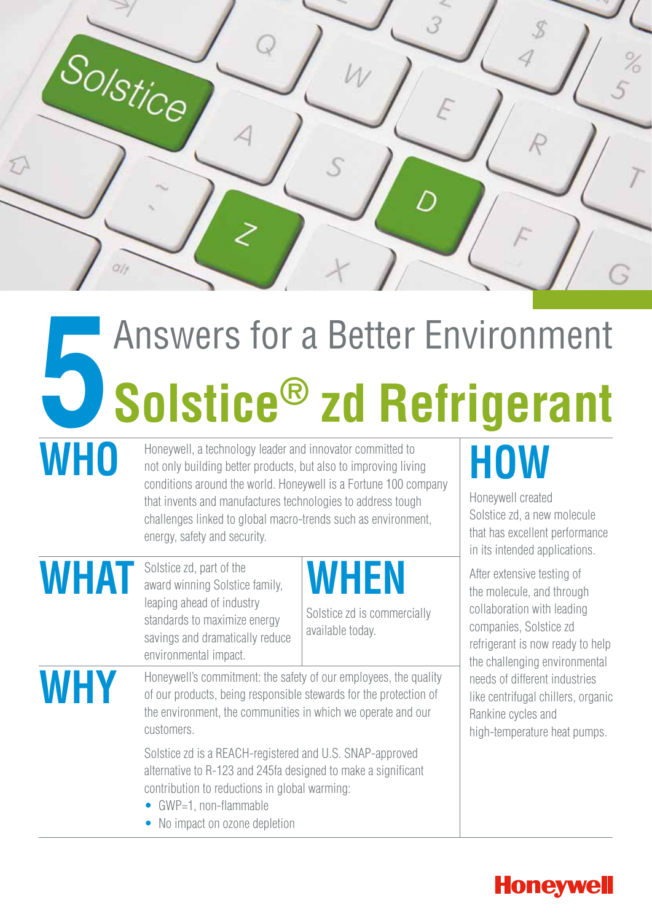

# **5**Answers for a Better Environment **Solstice® zd Refrigerant**

MHO Honeywell, a technology leader and innovator committed to<br>not only building better products, but also to improving livir<br>conditions around the world. Honowell is a Fertune 100.00 not only building better products, but also to improving living conditions around the world. Honeywell is a Fortune 100 company that invents and manufactures technologies to address tough challenges linked to global macro-trends such as environment, energy, safety and security.

**WHAT** Solstice zd, part of the award winning Solstice family, leaping ahead of industry standards to maximize energy savings and dramatically reduce environmental impact.

### **WHEN**

Solstice zd is commercially available today.

Honeywell's commitment: the safety of our employees, the quality<br>of our products, being responsible stewards for the protection of<br>the environment, the emmunities is which we operate and our of our products, being responsible stewards for the protection of the environment, the communities in which we operate and our customers.

> Solstice zd is a REACH-registered and U.S. SNAP-approved alternative to R-123 and 245fa designed to make a significant contribution to reductions in global warming:

- GWP=1, non-flammable
- No impact on ozone depletion

## **HOW**

Honeywell created Solstice zd, a new molecule that has excellent performance in its intended applications.

After extensive testing of the molecule, and through collaboration with leading companies, Solstice zd refrigerant is now ready to help the challenging environmental needs of different industries like centrifugal chillers, organic Rankine cycles and high-temperature heat pumps.